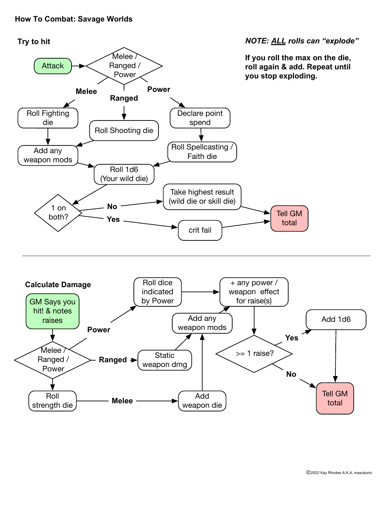